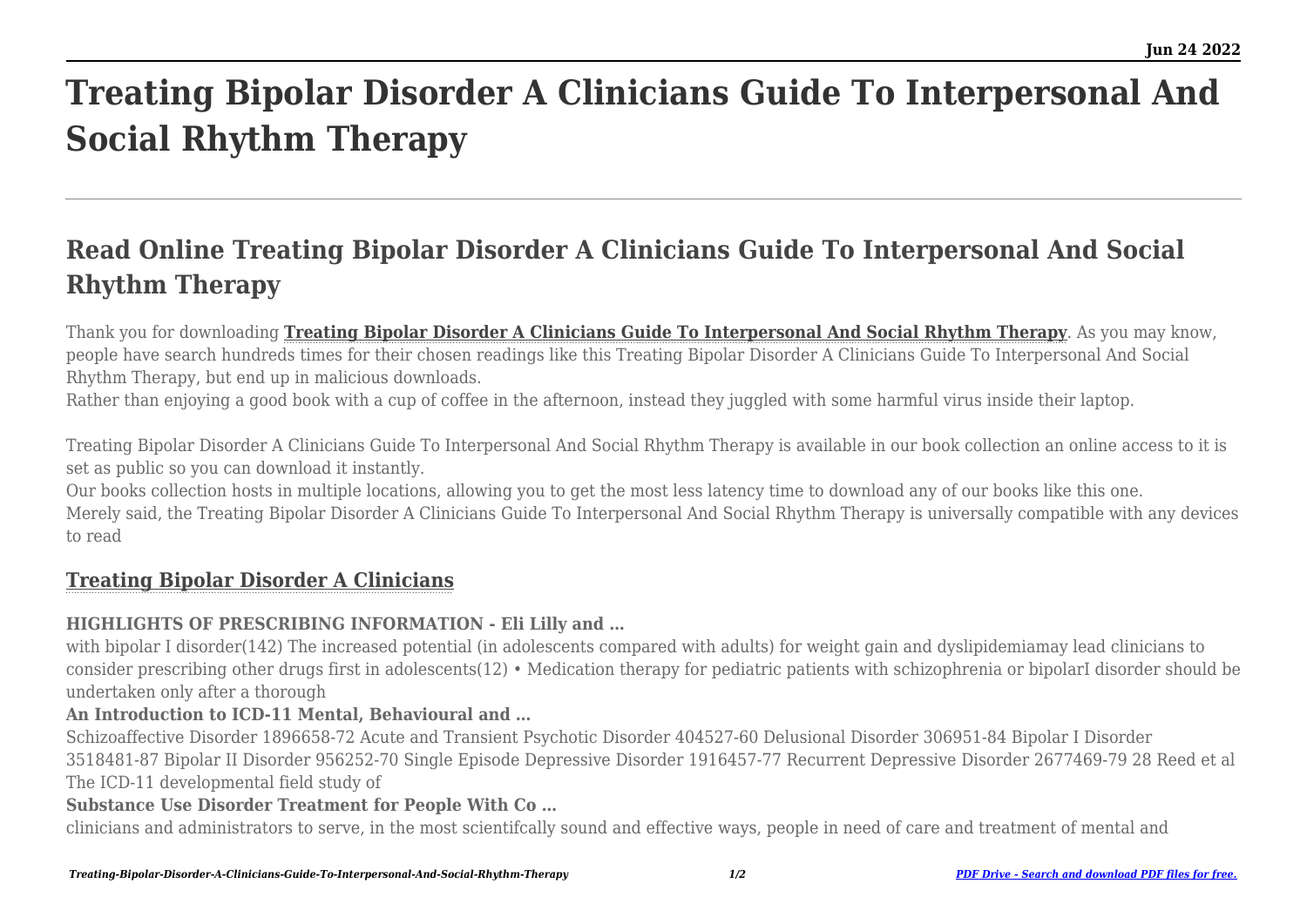# **Treating Bipolar Disorder A Clinicians Guide To Interpersonal And Social Rhythm Therapy**

# **Read Online Treating Bipolar Disorder A Clinicians Guide To Interpersonal And Social Rhythm Therapy**

Thank you for downloading **[Treating Bipolar Disorder A Clinicians Guide To Interpersonal And Social Rhythm Therapy](http://theknottedllama.com)**. As you may know, people have search hundreds times for their chosen readings like this Treating Bipolar Disorder A Clinicians Guide To Interpersonal And Social Rhythm Therapy, but end up in malicious downloads.

Rather than enjoving a good book with a cup of coffee in the afternoon, instead they juggled with some harmful virus inside their laptop.

Treating Bipolar Disorder A Clinicians Guide To Interpersonal And Social Rhythm Therapy is available in our book collection an online access to it is set as public so you can download it instantly.

Our books collection hosts in multiple locations, allowing you to get the most less latency time to download any of our books like this one.

Merely said, the Treating Bipolar Disorder A Clinicians Guide To Interpersonal And Social Rhythm Therapy is universally compatible with any devices to read

# **[Treating Bipolar Disorder A Clinicians](http://theknottedllama.com/Treating-Bipolar-Disorder-A-Clinicians-Guide-To-Interpersonal-And-Social-Rhythm-Therapy.pdf)**

#### **HIGHLIGHTS OF PRESCRIBING INFORMATION - Eli Lilly and …**

with bipolar I disorder(142) The increased potential (in adolescents compared with adults) for weight gain and dyslipidemiamay lead clinicians to consider prescribing other drugs first in adolescents(12) • Medication therapy for pediatric patients with schizophrenia or bipolarI disorder should be undertaken only after a thorough

#### **An Introduction to ICD-11 Mental, Behavioural and …**

Schizoaffective Disorder 1896658-72 Acute and Transient Psychotic Disorder 404527-60 Delusional Disorder 306951-84 Bipolar I Disorder 3518481-87 Bipolar II Disorder 956252-70 Single Episode Depressive Disorder 1916457-77 Recurrent Depressive Disorder 2677469-79 28 Reed et al The ICD-11 developmental field study of

#### **Substance Use Disorder Treatment for People With Co …**

clinicians and administrators to serve, in the most scientifcally sound and effective ways, people in need of care and treatment of mental and